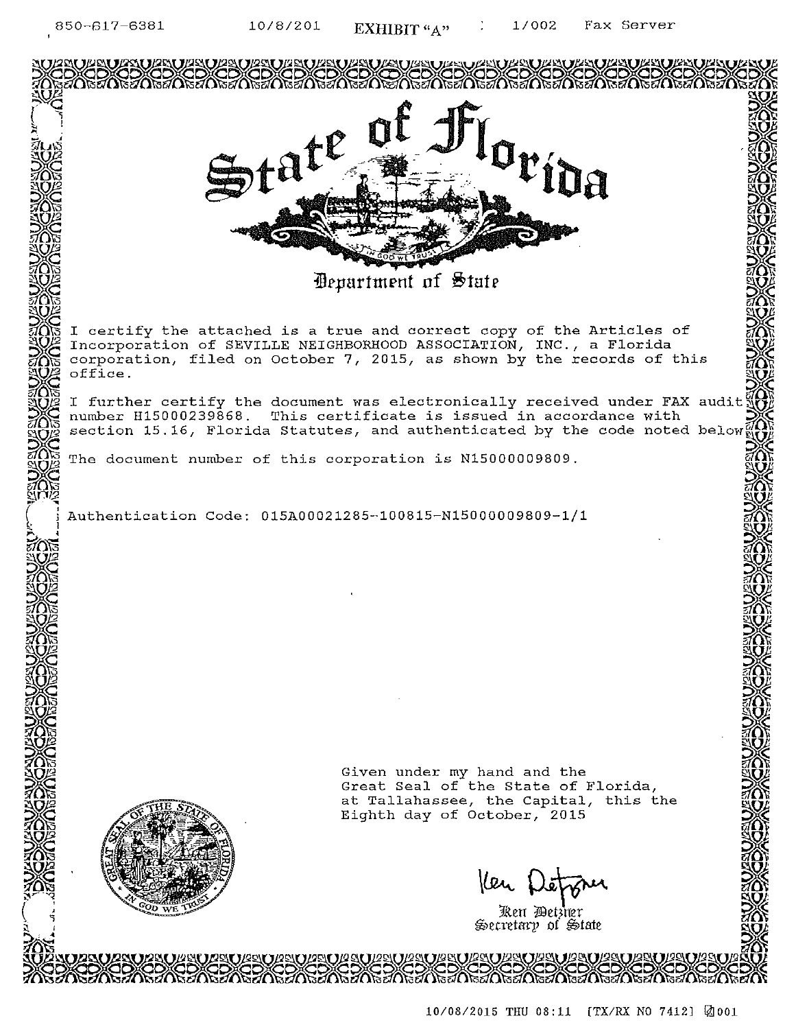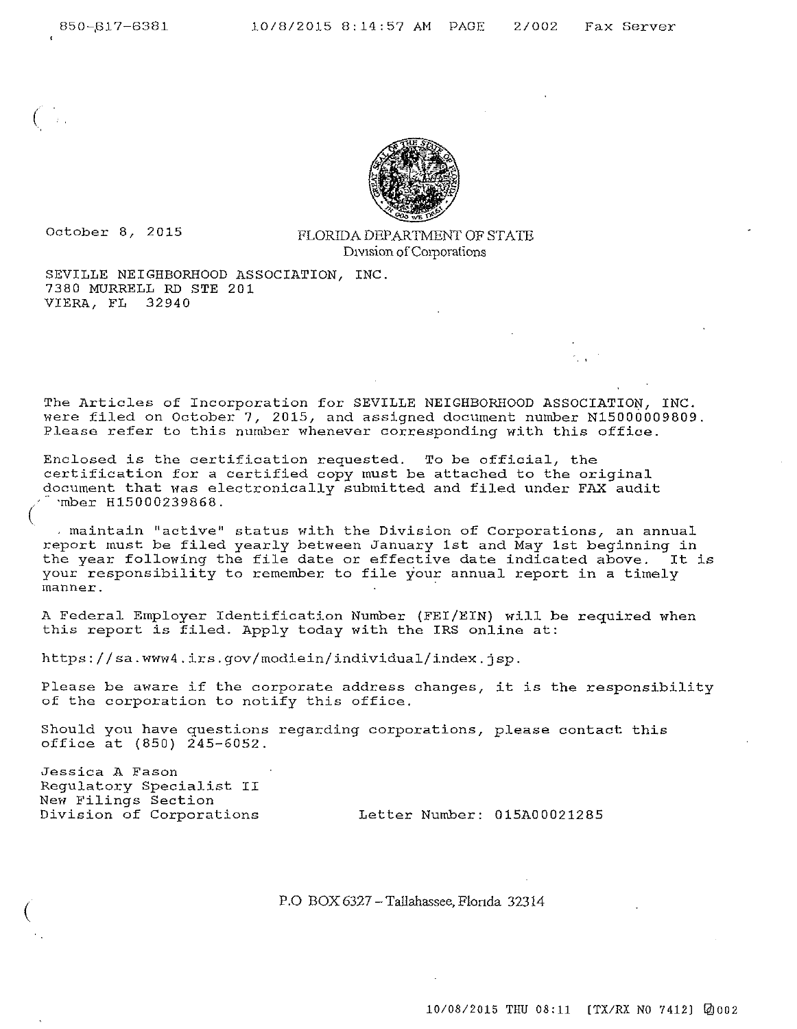(



October 8, 2015 FLORIDA DEPARTMENT OF STATE D1V1sion ofC01porations

SEVILLE NEIGHBORHOOD ASSOCIATION, INC. 7380 MURRELL RD STE 201 VIERA, FL 32940

The Articles of Incorporation for SEVILLE NEIGHBORHOOD ASSOCIATION, INC. were filed on October 7, 2015, and assigned document number N15000009809. **Please refer to this number whenever corresponding with this office.** 

Enclosed is the certification requested. To be official, the certification for a certified copy must be attached to the original document that was electronically submitted and filed under FAX audit *(* ·· ·mber H15000239868.

, **maintain 11 active 11 status with the Division of Corporations, an annual**  report must be filed yearly between January 1st and May 1st beginning in the year following the file date or effective date indicated above. It is your responsibility to remember to file your annual report in a timely **manner.** 

A Federal Employer Identification Number {FEI/EIN} will be required when this report is filed. Apply today with the IRS online at:

https://sa.wwN4.irs.gov/modiein/individual/index.jsp.

Please be aware if the corporate address changes, it is the responsibility of the corporation to notify this office.

Should you have questions regarding corporations, please contact this office at (850) 245-6052.

**Jessica A Fason**  Regulatory Specialist II New Filings Section<br>Division of Corporations

(

**Division of Corporations** Letter Number: 015A00021285

P.O BOX 6327 - Tallahassee, Flonda 32314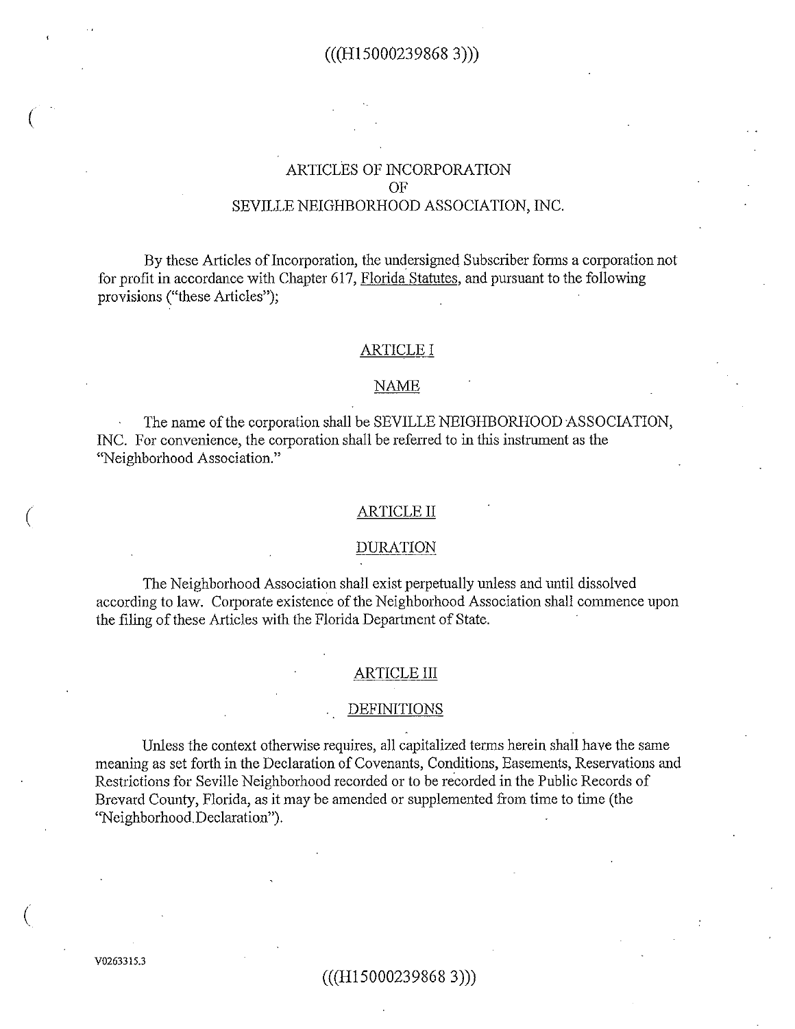# $(((H150002398683)))$

# ARTICLES OF INCORPORATION OF SEVILLE NEIGHBORHOOD ASSOCIATION, INC.

By these Articles of Incorporation, the undersigned Subscriber fonns a corporation not for profit in accordance with Chapter 617, Florida Statutes, and pursuant to the following provisions ("these Articles");

### ARTICLE I

## NAME

The name of the corporation shall be SEVILLE NEIGHBORHOOD ASSOCIATION, INC. For convenience, the corporation shall be refened to in *this* instrument as the "Neighborhood Association."

## ARTICLE II

### DURATION

The Neighborhood Association shall exist perpetually unless and until dissolved according to law. Corporate existence of the Neighborhood Association shall commence upon the filing of these Articles with the Florida Department of State.

#### ARTICLE III

#### DEFINITIONS

Unless the context otherwise requires, all capitalized terms herein shall have the same meaning as set forth in the Declaration of Covenants, Conditions, Easements, Reservations and Restrictions for Seville Neighborhood recorded or to be recorded in the Public Records of Brevard County, Florida, as it may be amended or supplemented from time to time (the ''Neighborhood. Declaration'').

V0263315.3

(

 $\big($ 

 $\big($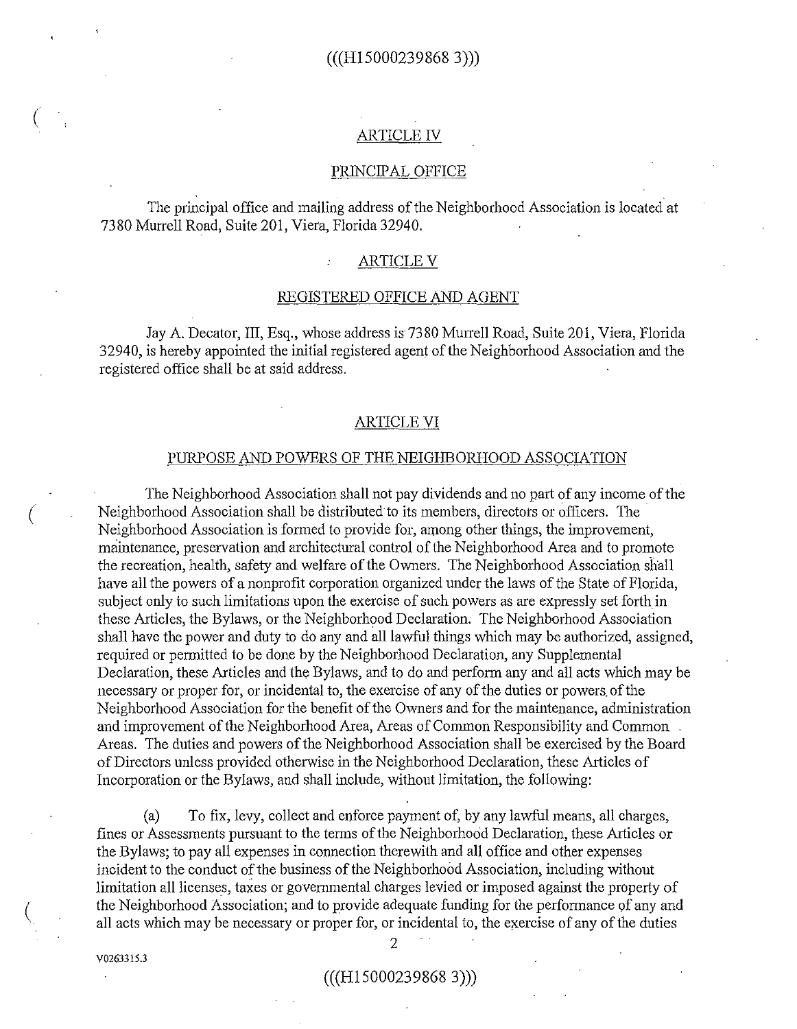# ARTICLE IV

#### PRINCIPAL OFFICE

The principal office and mailing address of the Neighborhood Association is located at 7380 Murrell Road, Suite 201, Viera, Florida 32940.

## ARTICLE V

### REGISTERED OFFICE AND AGENT

Jay A. Decator, III, Esq., whose address is7380 Murrell Road, Suite 201, Viera, Florida 32940, is hereby appointed the initial registered agent of the Neighborhood Association and the registered office shall be at said address.

### ARTICLE VI

## PURPOSE AND POWERS OF THE NEIGHBORHOOD ASSOCIATION

The Neighborhood Association shall not pay dividends and no part of any income of the Neighborhood Association shall be distributed to its members, directors or officers. The . Neighborhood Association is formed to provide for, among other things, the improvement, maintenance, preservation and architectural control of the Neighborhood Area and to promote the recreation, health, safety and welfare of the Owners. The Neighborhood Association shall have all the powers of a nonprofit corporation organized under the laws of the State of Florida, subject only to such limitations upon the exercise of such powers as are expressly set forth in these Articles, the Bylaws, or the Neighborhood Declaration. The Neighborhood Association shall have the power and duty to do any and all lawful things which may be authorized, assigned, required or permitted to be done by the Neighborhood Declaration, any Supplemental Declaration, these Articles and the Bylaws, and to do and perform any and all acts which may be necessary or proper for, or incidental to, the exercise of any of the duties or powers. of the Neighborhood Association for the benefit of the Owners and for the maintenance, administration and improvement of the Neighborhood Area, Areas of Common Responsibility and Common Areas. The duties and powers of the Neighborhood Association shall be exercised by the Board of Directors unless provided otherwise in theN eighborhood Declaration, these Articles of Incorporation or the Bylaws, and shall include, without limitation, the following:

(a) To fix, levy, collect and enforce payment of, by any lawful means, all charges, fines or Assessments pursuant to the terms of the Neighborhood Declaration, these Articles or the Bylaws; to pay all expenses in connection therewith and all office and other expenses incident to the conduct of the business of the Neighborhood Association, including without limitation all licenses, taxes or governmental charges levied or imposed against the property of the Neighborhood Association; and to provide adequate funding for the performance of any and all acts which may be necessary or proper for, or incidental to, the exercise of any of the duties

V0263315.3

(

 $\big($ 

 $\left($ 

# $(((H150002398683)))$

2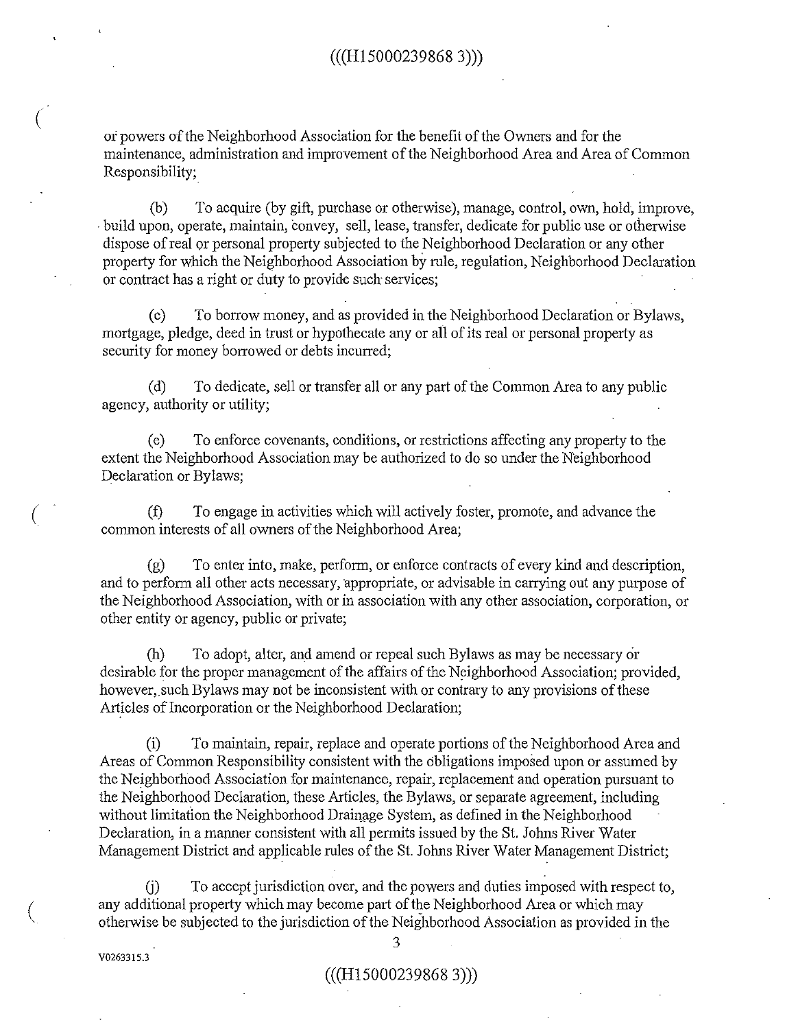01' powers of the Neighborhood Association for the benefit of the Owners and for the maintenance, administration and improvement of the Neighborhood Area and Area of Common Responsibility;.

(b) To acquire (by gift, purchase or otherwise), manage, control, own, hold, improve, · build upon, operate, maintain, convey, sell, lease, transfer, dedicate for public use or otherwise dispose of real or personal property subjected to the Neighborhood Declaration or any other property for which the Neighborhood Association by rule, regulation, Neighborhood Declaration or contract has a right or duty to provide such services;

(c) To borrow money, and as provided in the Neighborhood Declaration or Bylaws, mortgage, pledge, deed in trust or hypothecate any or all of its real or personal property as security for money borrowed or debts incurred;

(d) To dedicate, sell or transfer all or any part of the Common Area to any public agency, authority or utility;

(e) To enforce covenants, conditions, or restrictions affecting any property to the extent the Neighborhood Association may be authorized to do so under the Neighborhood Declaration or Bylaws;

(f) To engage in activities which will actively foster, promote, and advance the common interests of all owners of the Neighborhood Area;

(g) To enter into, make, perform, or enforce contracts of every kind and description, and to perform all other acts necessary, appropriate, or advisable in carrying out any purpose of the Neighborhood Association, with or in association with any other association, corporation, or other entity or agency, public or private;

(h) To adopt, alter, and amend or repeal such Bylaws as may be necessary cir desirable for the proper management of the affairs of the Neighborhood Association; provided, however, such Bylaws may not be inconsistent with or contrary to any provisions of these Articles of Incorporation or the Neighborhood Declaration;

(i) To maintain, repair, replace and operate portions of the Neighborhood Area and Areas of Common Responsibility consistent with the obligations imposed upon or assumed by the Neighborhood Association for maintenance, repair, replacement and operation pursuant to the Neighborhood Declaration, these Articles, the Bylaws, or separate agreement, including without limitation the Neighborhood Drainage System, as defined in the Neighborhood Declaration, in a manner consistent with all permits issued by the St. Johns River Water Management District and applicable rules of the St. Johns River Water Management District;

(j) To accept jurisdiction over, and the powers and duties imposed with respect to, any additional property which may become part of the Neighborhood Area or which may otherwise be subjected to the jurisdiction of the Neighborhood Association as provided in the

V0263315.3

(

(

 $\left($ 

3

## (((H15000239868 3)))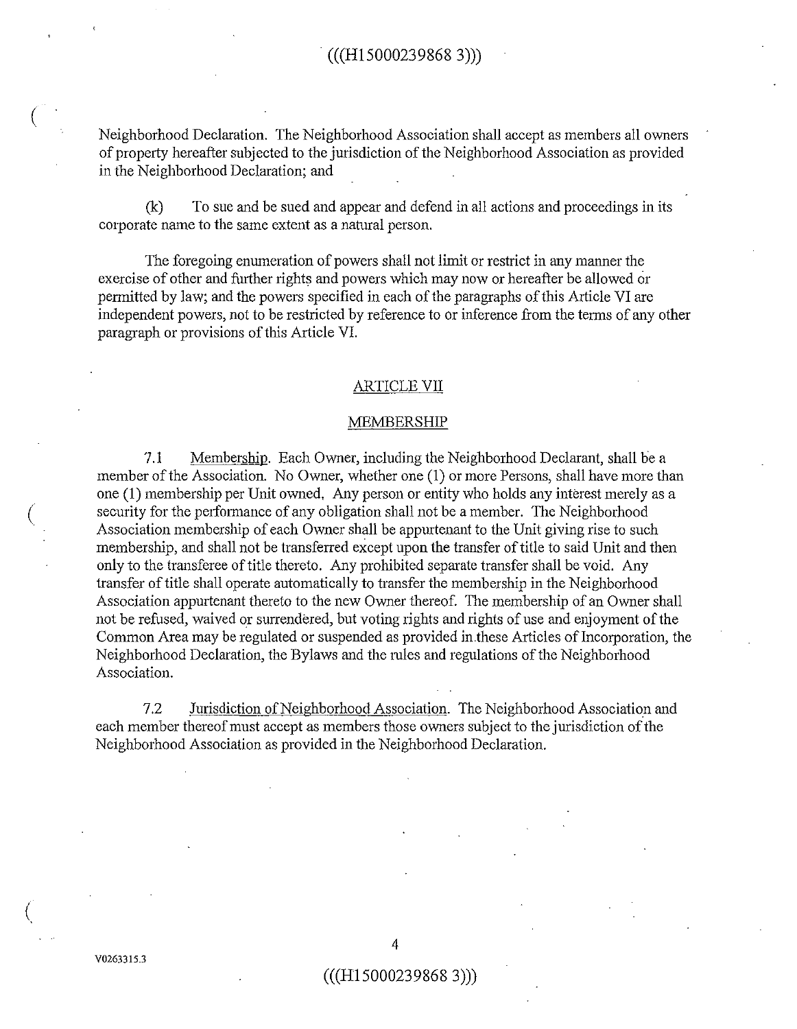Neighborhood Declaration. The Neighborhood Association shall accept as members all owners of property hereafter subjected to the jurisdiction of the Neighborhood Association as provided in the Neighborhood Declaration; and

(k) To sue and be sued and appear and defend in all actions and proceedings in its corporate name to the same extent as a natural person.

The foregoing enumeration of powers shall not limit or restrict in any manner the exercise of other and further rights and powers which may now or hereafter be allowed or permitted by law; and the powers specified in each of the paragraphs of this Article VI are independent powers, not to be restricted by reference to or inference from the terms of any other paragraph or provisions of this Article VI.

## ARTICLE VII

### MEMBERSHIP

7.1 Membership. Each Owner, including the Neighborhood Declarant, shall be a member of the Association. No Owner, whether one (1) or more Persons, shall have more than one (1) membership per Unit owned, Any person or entity who holds any interest merely as a security for the performance of any obligation shall not be a member. The Neighborhood Association membership of each Owner shall be appurtenant to the Unit giving rise to such membership, and shall not be transferred except upon the transfer of title to said Unit and then only to the transferee of title thereto. Any prohibited separate transfer shall be void. Any transfer of title shall operate automatically to transfer the membership in the Neighborhood Association appurtenant thereto to the new Owner thereof. The membership of an Owner shall not be refused, waived or surrendered, but voting rights and rights of use and enjoyment of the Common Area may be regulated or suspended as provided in .these Articles of Incorporation, the Neighborhood Declaration, the Bylaws and the mles and regulations of the Neighborhood Association.

7.2 Jurisdiction of Neighborhood Association. The Neighborhood Association and each member thereof must accept as members those owners subject to the jurisdiction of the Neighborhood Association as provided in the Neighborhood Declaration.

(

(

 $\left(\right)$ 

## $(((H150002398683)))$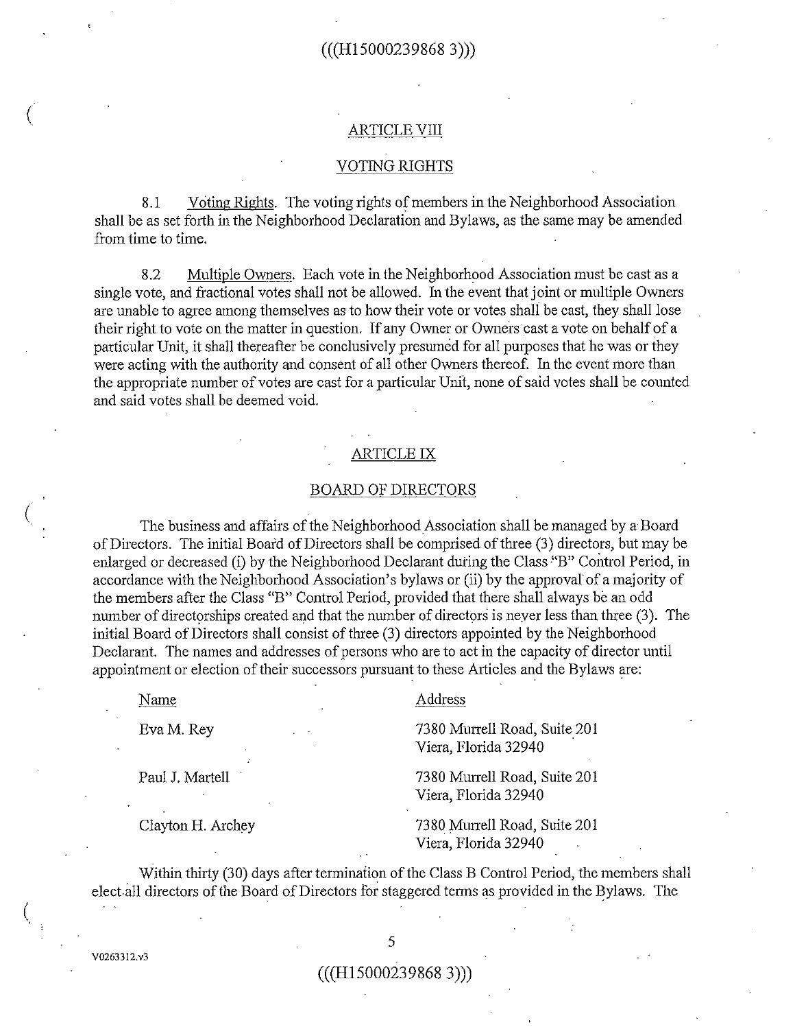# $(((H150002398683)))$

#### ARTICLE VIII

# VOTING RIGHTS

8.1 V citing Rights. The voting rights of members in the Neighborhood Association shall be as set forth in the Neighborhood Declaration and Bylaws, as the same may be amended from time to time.

8.2 Multiple Owners. Each vote in the Neighborhood Association must be cast as a single vote, and fractional votes shall not be allowed. In the event that joint or multiple Owners are unable to agree among themselves as to how their vote or votes shali be cast, they shall lose their right to vote on the matter in question. If any Owner or Owners cast a vote on behalf of a particular Unit, it shall thereafter be conclusively presumed for all purposes that he was or they were acting with the authority and consent of all other Owners thereof. In the event more than the appropriate number of votes are cast for a particular Unit, none of said votes shall be counted and said votes shall be deemed void.

# ARTICLE IX

### BOARD OF DIRECTORS

The business and affairs of the Neighborhood Association shall be managed by a Board of Directors. The initial Board of Directors shall be comprised of three (3) directors, but may be enlarged or decreased (i) by the Neighborhood Declarant during the Class "B" Control Period, in accordance with the Neighborhood Association's bylaws or (ii) by the approval of a majority of the members after the Class "B" Control Period, provided that there shall always be an odd number of directorships created and that the number of directors is never less than three (3). The initial Board of Directors shall consist of three (3) directors appointed by the Neighborhood Declarant. The names and addresses of persons who are to act in the capacity of director until appointment or election of their successors pursuant to these Articles and the Bylaws are:

Name

(

(

(

#### Address

EvaM. Rey

7380 Murrell Road, Suite 201 Viera, Florida 32940

7380 Munell Road, Suite 201

Viera, Florida 32940

Paul J. Martell

Clayton H. Archey

7380 Murrell Road, Suite 201 Viera, Florida 32940

Within thirty (30) days after terminaiion of the Class B Control Period, the members shall elect-all directors of the Board of Directors for staggered terms as provided in the Bylaws. The

V02633!2.v3

# (((H15000239868 3)))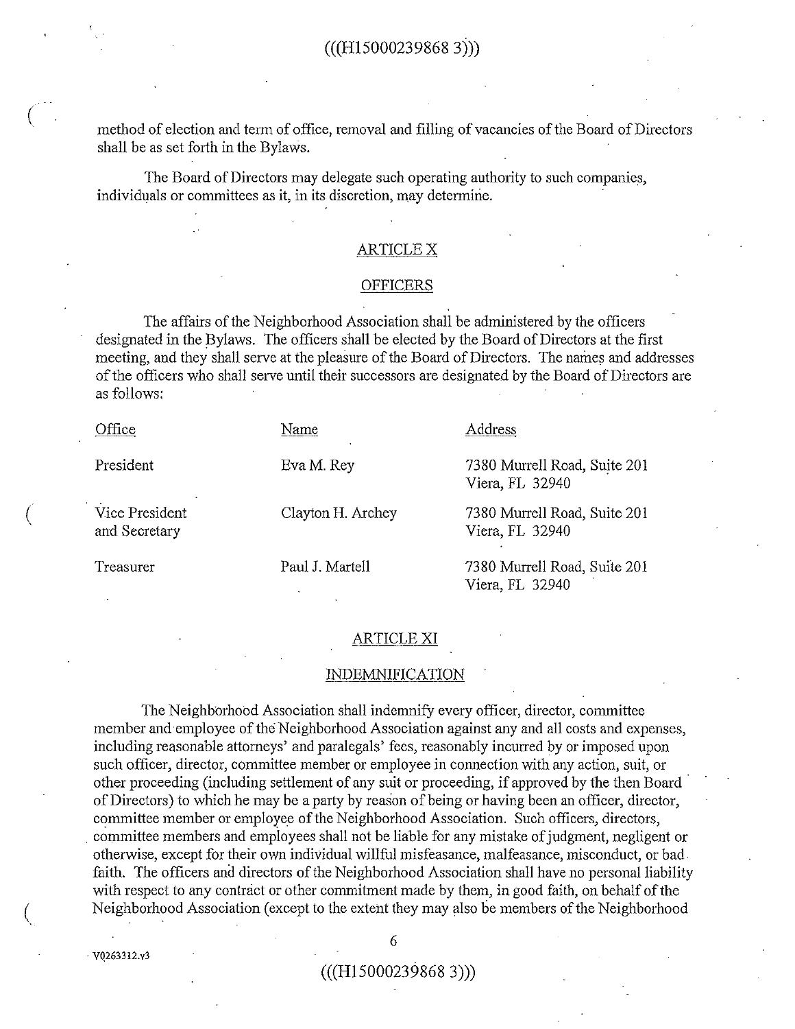method of election and term of office, removal and filling of vacancies of the Board of Directors shall be as set forth in the Bylaws.

The Board of Directors may delegate such operating authority to such companies, individuals or committees as it, in its discretion, may determine.

## ARTICLE X

#### OFFICERS

The affairs of the Neighborhood Association shall be administered by the officers designated in the Bylaws. The officers shall be elected by the Board of Directors at the first meeting, and they shall serve at the pleasure of the Board of Directors. The names and addresses of the officers who shall serve until their successors are designated by the Board of Directors are as follows:

| Office                          | Name              | Address                                         |
|---------------------------------|-------------------|-------------------------------------------------|
| President                       | Eva M. Rey        | 7380 Murrell Road, Suite 201<br>Viera, FL 32940 |
| Vice President<br>and Secretary | Clayton H. Archey | 7380 Murrell Road, Suite 201<br>Viera, FL 32940 |
| Treasurer                       | Paul J. Martell   | 7380 Murrell Road, Suite 201<br>Viera, FL 32940 |

## ARTICLE XI

#### INDEMNIFICATION

The Neighborhood Association shall indemnify every officer, director, committee member and employee of the Neighborhood Association against any and all costs and expenses, including reasonable attorneys' and paralegals' fees, reasonably incurred by or imposed upon such officer, director, committee member or employee in connection with any action, suit, or other proceeding (including settlement of any suit or proceeding, if approved by the then Board · of Directors) to which he may be a party by reason of being or having been an officer, director, committee member or employee of the Neighborhood Association. Such officers, directors, . committee members and employees shall not be liable for any mistake of judgment, negligent or otherwise, except for their own individual willful misfeasance, malfeasance, misconduct, or bad. faith. The officers and directors of the Neighborhood Association shall have no personal liability with respect to any contract or other commitment made by them, in good faith, on behalf of the Neighborhood Association (except to the extent they may also be members of the Neighborhood

 $\frac{6}{100}$ 

(

(

 $(((H150002398683)))$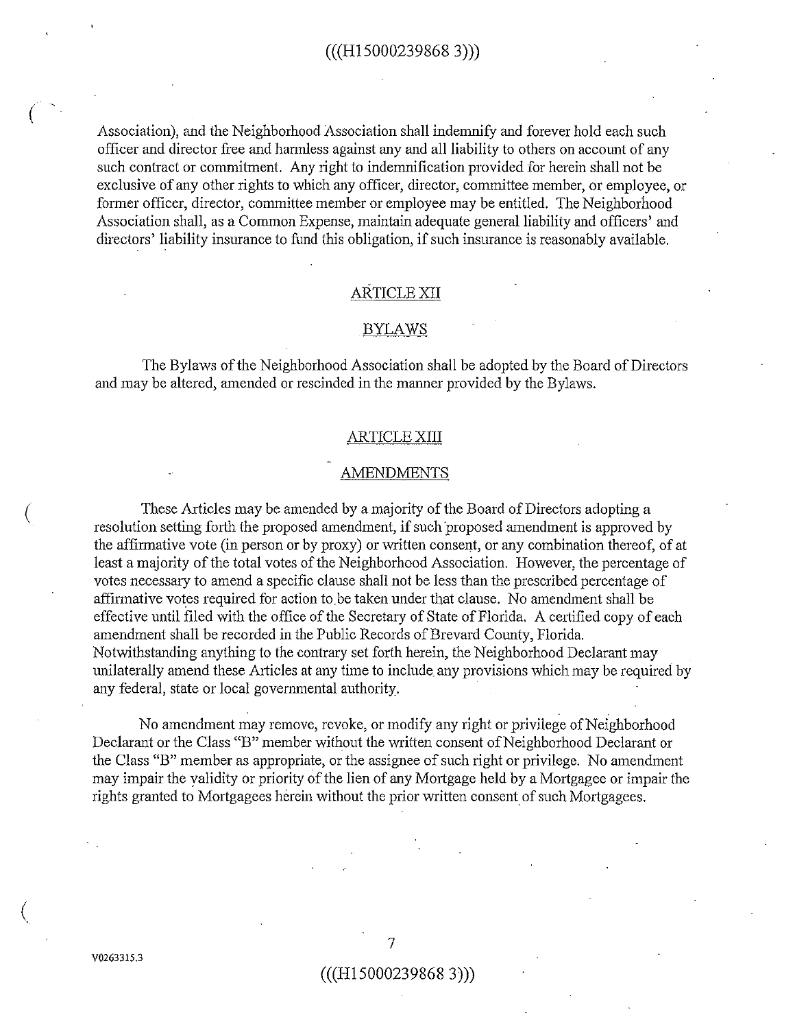Association), and the Neighborhood Association shall indemnify and forever hold each such officer and director free and harmless against any and all liability to others on account of any such contract or commitment. Any right to indemnification provided for herein shall not be exclusive of any other rights to which any officer, director, committee member, or employee, or former officer, director, committee member or employee may be entitled. The Neighborhood Association shall, as a Common Expense, maintain adequate general liability and officers' and directors' liability insurance to fund this obligation, if such insurance is reasonably available.

## ARTICLE XII

#### BYLAWS

The Bylaws of the Neighborhood Association shall be adopted by the Board of Directors and may be altered, amended or rescinded in the manner provided by the Bylaws.

## ARTICLE XIII

### AMENDMENTS

These Articles may be amended by a majority of the Board of Directors adopting a resolution setting forth the proposed amendment, if such proposed amendment is approved by the affirmative vote (in person or by proxy) or written consent, or any combination thereof, of at least a majority of the total votes of the Neighborhood Association. However, the percentage of votes necessary to amend a specific clause shall not be less than the prescribed percentage of affirmative votes required for action to.be taken under that clause. No amendment shall be effective until filed with the office of the Secretary of State of Florida. A certified copy of each amendment shall be recorded in the Public Records of Brevard County, Florida. Notwithstanding anything to the contrary set forth herein, the Neighborhood Declarant may unilaterally amend these Articles at any time to include any provisions which may be required by any federal, state or local governmental authority.

No amendment may remove, revoke, or modify any right or privilege of Neighborhood Declarant or the Class "B" member without the written consent of Neighborhood Declarant or the Class "B" member as appropriate, or the assignee of such right or privilege. No amendment may impair the validity or priority of the lien of any Mortgage held by a Mortgagee or impair the rights granted to Mortgagees herein without the prior written consent of such Mortgagees.

#### $((H150002398683))$

(

(

 $\left(\right)$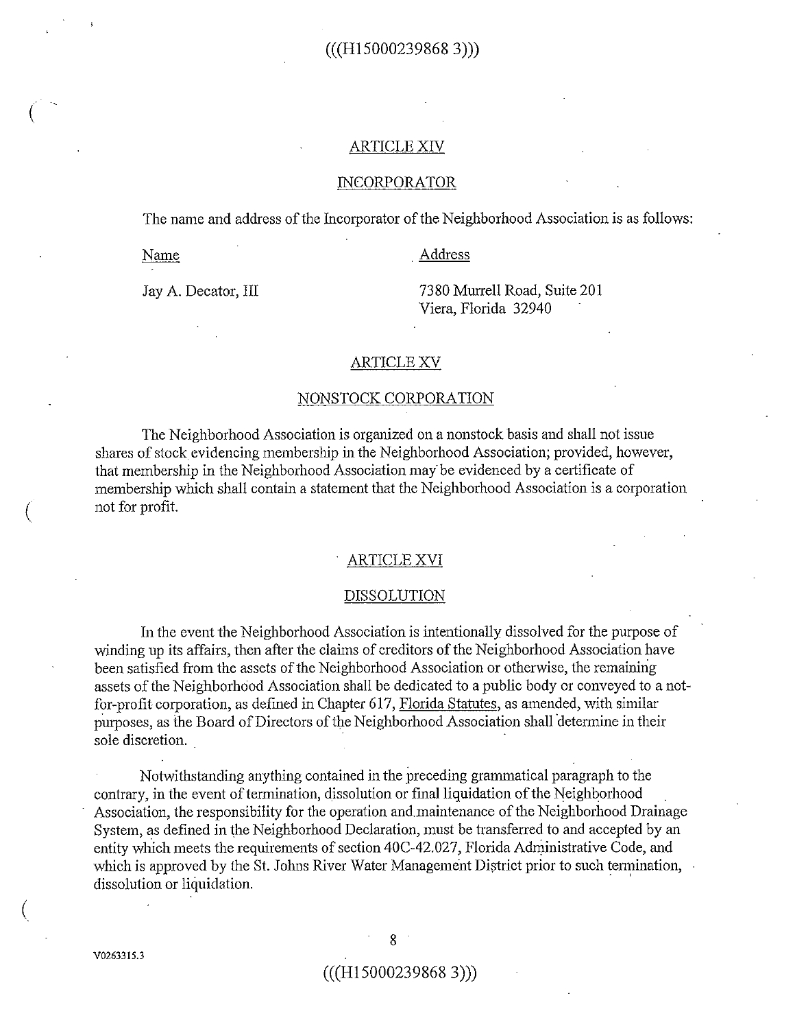# $((H150002398683))$

#### ARTICLEXN

## INCORPORATOR

The name and address of the Incorporator of the Neighborhood Association is as follows:

Name

 $\big($ 

#### . Address

Jay A. Decator, III

73 80 Murrell Road, Suite 201 Viera, Florida 32940

#### ARTICLE XV

#### NONSTOCK CORPORATION

The Neighborhood Association is organized on a nonstock basis and shall not issue shares of stock evidencing membership in the Neighborhood Association; provided, however, that membership in the Neighborhood Association may be evidenced by a certificate of membership which shall contain a statement that the Neighborhood Association is a corporation not for profit.

### ARTICLE XVI

#### DISSOLUTION

In the event the Neighborhood Association is intentionally dissolved for the purpose of winding up its affairs, then after the claims of creditors of the Neighborhood Association have been satisfied from the assets of the Neighborhood Association or otherwise, the remaining assets of the Neighborhood Association shall be dedicated to a public body or conveyed to a notfor-profit corporation, as defmed in Chapter 617, Florida Statutes, as amended, with similar purposes, as the Board of Directors of the Neighborhood Association shall determine in their sole discretion.

Notwithstanding anything contained in the preceding grammatical paragraph to the contrary, in the event of termination, dissolution or final liquidation of the Neighborhood Association, the responsibility for the operation and.maintenance of the Neighborhood Drainage System, as defined in the Neighborhood Declaration, must be transferred to and accepted by an entity which meets the requirements of section 40C-42.027, Florida Administrative Code, and which is approved by the St. Johns River Water Management District prior to such termination, dissolution or liquidation.

 $\left(\right)$ 

## $(((H150002398683)))$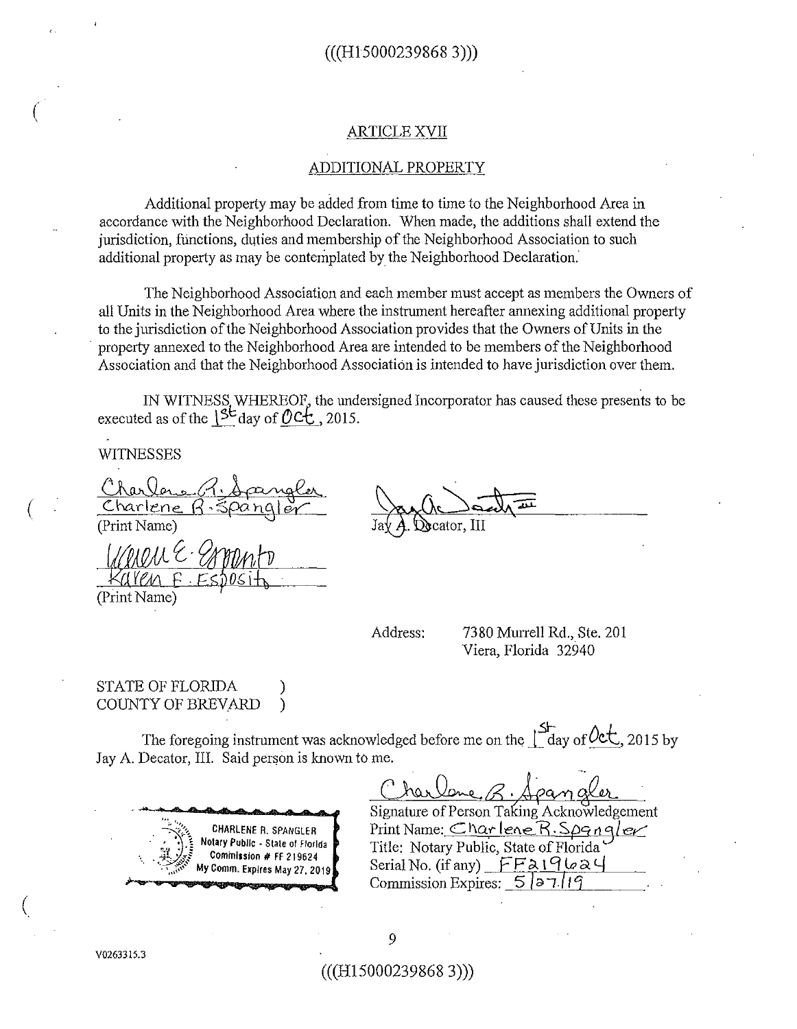#### ARTICLE XVII

## ADDITIONAL PROPERTY

Additional property may be added from time to time to the Neighborhood Area in accordance with the Neighborhood Declaration. When made, the additions shall extend the jurisdiction, functions, duties and membership of the Neighborhood Association to such additional property as may be contemplated by the Neighborhood Declaration.

The Neighborhood Association and each member must accept as members the Owners of all Units in the Neighborhood Area where the instrument hereafter armexing additional property to the jurisdiction ofthe Neighborhood Association provides that the Owners of Units in the · property armexed to the Neighborhood Area are intended to be members of the Neighborhood Association and that the Neighborhood Association is intended to have jurisdiction over them.

IN WITNESS WHEREOF, the undersigned Incorporator has caused these presents to be executed as of the  $\binom{5}{ }$  day of  $\mathcal{O}$  C<sub>L</sub>, 2015.

WITNESSES

 $\big($ 

(

 $\big($ 

WITNESSES<br>Charlene R. Spangler<br>Charlene R. Spangler (Print Name)

(Print Name)

**Decator**, III

Address: 7380 Murrell Rd., Ste. 201 Viera, Florida 32940

# STATE OF FLORIDA ) COUNTY OF BREVARD )

The foregoing instrument was acknowledged before me on the  $\int_{\text{day of}}^{\text{St}}$  of  $\text{Oct.}$ , 2015 by Jay A. Decator, III. Said person is known to me.



 $~\sqrt{\Lambda \cdot A}$  and  $~\alpha$ . Signature of Person Taking Acknowledgement Print Name: *Charlene R. Spangler* Title: Notary Public, State of Florida Serial No. (if any)  $FF319624$ Commission Expires: 5) *6* I /1 '1

9

(((H15000239868 3)))

V0263315.3